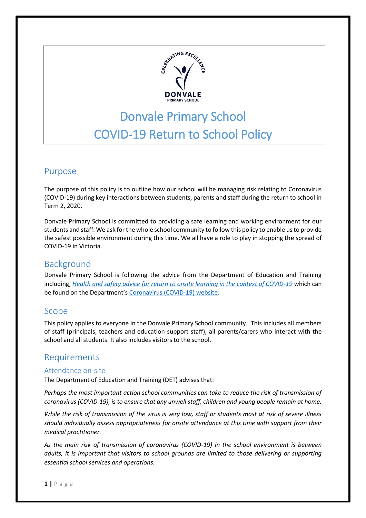

# Donvale Primary School COVID-19 Return to School Policy

# Purpose

The purpose of this policy is to outline how our school will be managing risk relating to Coronavirus (COVID-19) during key interactions between students, parents and staff during the return to school in Term 2, 2020.

Donvale Primary School is committed to providing a safe learning and working environment for our students and staff. We ask for the whole school community to follow this policy to enable us to provide the safest possible environment during this time. We all have a role to play in stopping the spread of COVID-19 in Victoria.

# Background

Donvale Primary School is following the advice from the Department of Education and Training including, *[Health and safety advice for return to onsite learning in the context of COVID-19](https://www.education.vic.gov.au/Documents/about/department/covid-19/health-and-safety-advice-return-school.pdf)* which can be found on the Department's [Coronavirus \(COVID-19\) website.](file:///C:/Users/08429711/Desktop/SPTP/•%09https:/www.education.vic.gov.au/school/Pages/coronavirus-advice-schools.aspx)

# Scope

This policy applies to everyone in the Donvale Primary School community. This includes all members of staff (principals, teachers and education support staff), all parents/carers who interact with the school and all students. It also includes visitors to the school.

# Requirements

## Attendance on-site

The Department of Education and Training (DET) advises that:

*Perhaps the most important action school communities can take to reduce the risk of transmission of coronavirus (COVID-19), is to ensure that any unwell staff, children and young people remain at home.* 

*While the risk of transmission of the virus is very low, staff or students most at risk of severe illness should individually assess appropriateness for onsite attendance at this time with support from their medical practitioner.*

*As the main risk of transmission of coronavirus (COVID-19) in the school environment is between adults, it is important that visitors to school grounds are limited to those delivering or supporting essential school services and operations.*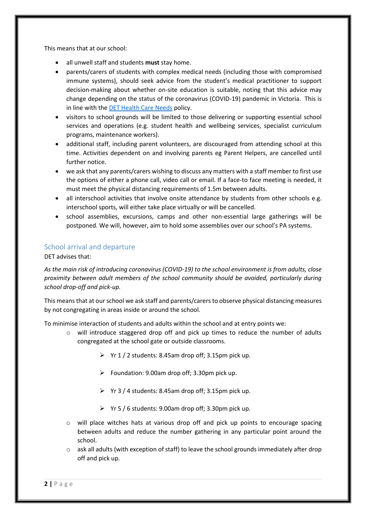This means that at our school:

- all unwell staff and students **must** stay home.
- parents/carers of students with complex medical needs (including those with compromised immune systems), should seek advice from the student's medical practitioner to support decision-making about whether on-site education is suitable, noting that this advice may change depending on the status of the coronavirus (COVID-19) pandemic in Victoria. This is in line with the [DET Health Care Needs](https://www.education.vic.gov.au/school/principals/spag/health/Pages/healthcareneeds.aspx) policy.
- visitors to school grounds will be limited to those delivering or supporting essential school services and operations (e.g. student health and wellbeing services, specialist curriculum programs, maintenance workers).
- additional staff, including parent volunteers, are discouraged from attending school at this time. Activities dependent on and involving parents eg Parent Helpers, are cancelled until further notice.
- we ask that any parents/carers wishing to discuss any matters with a staff member to first use the options of either a phone call, video call or email. If a face-to face meeting is needed, it must meet the physical distancing requirements of 1.5m between adults.
- all interschool activities that involve onsite attendance by students from other schools e.g. interschool sports, will either take place virtually or will be cancelled.
- school assemblies, excursions, camps and other non-essential large gatherings will be postponed. We will, however, aim to hold some assemblies over our school's PA systems.

## School arrival and departure

#### DET advises that:

*As the main risk of introducing coronavirus (COVID-19) to the school environment is from adults, close proximity between adult members of the school community should be avoided, particularly during school drop-off and pick-up.*

This means that at our school we ask staff and parents/carers to observe physical distancing measures by not congregating in areas inside or around the school.

To minimise interaction of students and adults within the school and at entry points we:

- o will introduce staggered drop off and pick up times to reduce the number of adults congregated at the school gate or outside classrooms.
	- $\triangleright$  Yr 1 / 2 students: 8.45am drop off; 3.15pm pick up.
	- $\triangleright$  Foundation: 9.00am drop off; 3.30pm pick up.
	- $\triangleright$  Yr 3 / 4 students: 8.45am drop off; 3.15pm pick up.
	- $\triangleright$  Yr 5 / 6 students: 9.00am drop off; 3.30pm pick up.
- $\circ$  will place witches hats at various drop off and pick up points to encourage spacing between adults and reduce the number gathering in any particular point around the school.
- $\circ$  ask all adults (with exception of staff) to leave the school grounds immediately after drop off and pick up.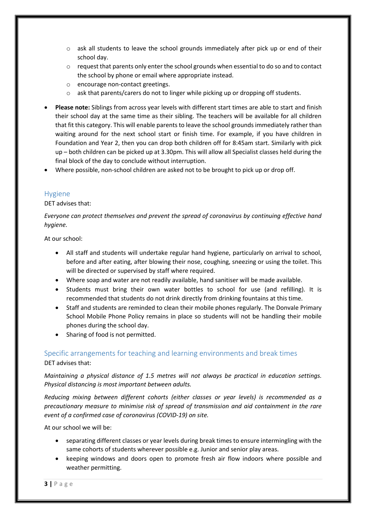- $\circ$  ask all students to leave the school grounds immediately after pick up or end of their school day.
- o request that parents only enter the school grounds when essential to do so and to contact the school by phone or email where appropriate instead.
- o encourage non-contact greetings.
- o ask that parents/carers do not to linger while picking up or dropping off students.
- **Please note:** Siblings from across year levels with different start times are able to start and finish their school day at the same time as their sibling. The teachers will be available for all children that fit this category. This will enable parents to leave the school grounds immediately rather than waiting around for the next school start or finish time. For example, if you have children in Foundation and Year 2, then you can drop both children off for 8:45am start. Similarly with pick up – both children can be picked up at 3.30pm. This will allow all Specialist classes held during the final block of the day to conclude without interruption.
- Where possible, non-school children are asked not to be brought to pick up or drop off.

## Hygiene

DET advises that:

*Everyone can protect themselves and prevent the spread of coronavirus by continuing effective hand hygiene.* 

At our school:

- All staff and students will undertake regular hand hygiene, particularly on arrival to school, before and after eating, after blowing their nose, coughing, sneezing or using the toilet. This will be directed or supervised by staff where required.
- Where soap and water are not readily available, hand sanitiser will be made available.
- Students must bring their own water bottles to school for use (and refilling). It is recommended that students do not drink directly from drinking fountains at this time.
- Staff and students are reminded to clean their mobile phones regularly. The Donvale Primary School Mobile Phone Policy remains in place so students will not be handling their mobile phones during the school day.
- Sharing of food is not permitted.

## Specific arrangements for teaching and learning environments and break times

DET advises that:

*Maintaining a physical distance of 1.5 metres will not always be practical in education settings. Physical distancing is most important between adults.*

*Reducing mixing between different cohorts (either classes or year levels) is recommended as a precautionary measure to minimise risk of spread of transmission and aid containment in the rare event of a confirmed case of coronavirus (COVID-19) on site.*

At our school we will be:

- separating different classes or year levels during break times to ensure intermingling with the same cohorts of students wherever possible e.g. Junior and senior play areas.
- keeping windows and doors open to promote fresh air flow indoors where possible and weather permitting.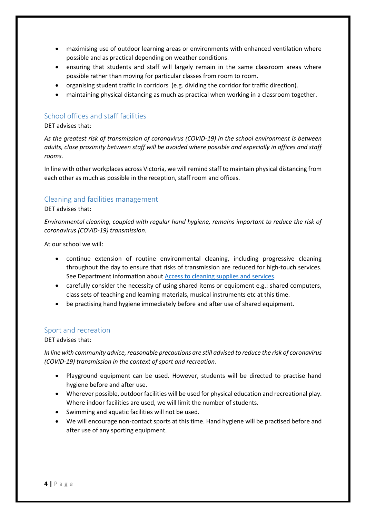- maximising use of outdoor learning areas or environments with enhanced ventilation where possible and as practical depending on weather conditions.
- ensuring that students and staff will largely remain in the same classroom areas where possible rather than moving for particular classes from room to room.
- organising student traffic in corridors (e.g. dividing the corridor for traffic direction).
- maintaining physical distancing as much as practical when working in a classroom together.

#### School offices and staff facilities

DET advises that:

*As the greatest risk of transmission of coronavirus (COVID-19) in the school environment is between adults, close proximity between staff will be avoided where possible and especially in offices and staff rooms.*

In line with other workplaces across Victoria, we will remind staff to maintain physical distancing from each other as much as possible in the reception, staff room and offices.

#### Cleaning and facilities management

DET advises that:

*Environmental cleaning, coupled with regular hand hygiene, remains important to reduce the risk of coronavirus (COVID-19) transmission.*

At our school we will:

- continue extension of routine environmental cleaning, including progressive cleaning throughout the day to ensure that risks of transmission are reduced for high-touch services. See Department information about [Access to cleaning supplies and services.](https://www.education.vic.gov.au/school/teachers/management/infrastructure/Pages/cleaningsupplies.aspx)
- carefully consider the necessity of using shared items or equipment e.g.: shared computers, class sets of teaching and learning materials, musical instruments etc at this time.
- be practising hand hygiene immediately before and after use of shared equipment.

#### Sport and recreation

DET advises that:

*In line with community advice, reasonable precautions are still advised to reduce the risk of coronavirus (COVID-19) transmission in the context of sport and recreation.*

- Playground equipment can be used. However, students will be directed to practise hand hygiene before and after use.
- Wherever possible, outdoor facilities will be used for physical education and recreational play. Where indoor facilities are used, we will limit the number of students.
- Swimming and aquatic facilities will not be used.
- We will encourage non-contact sports at this time. Hand hygiene will be practised before and after use of any sporting equipment.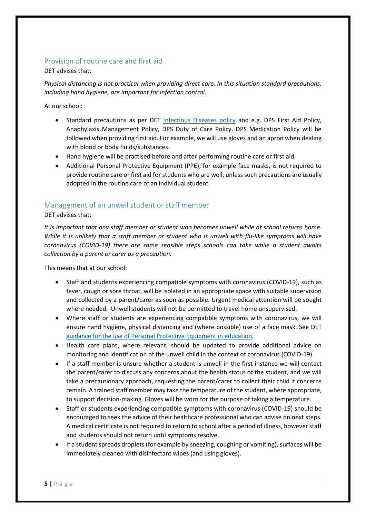## Provision of routine care and first aid

DET advises that:

*Physical distancing is not practical when providing direct care. In this situation standard precautions, including hand hygiene, are important for infection control.*

At our school:

- Standard precautions as per DET [Infectious Diseases policy](https://www.education.vic.gov.au/school/principals/spag/health/pages/infectiousdiseases.aspx) and e.g. DPS First Aid Policy, Anaphylaxis Management Policy, DPS Duty of Care Policy, DPS Medication Policy will be followed when providing first aid. For example, we will use gloves and an apron when dealing with blood or body fluids/substances.
- Hand hygiene will be practised before and after performing routine care or first aid.
- Additional Personal Protective Equipment (PPE), for example face masks, is not required to provide routine care or first aid for students who are well, unless such precautions are usually adopted in the routine care of an individual student.

## Management of an unwell student or staff member

#### DET advises that:

*It is important that any staff member or student who becomes unwell while at school returns home. While it is unlikely that a staff member or student who is unwell with flu-like symptoms will have coronavirus (COVID-19) there are some sensible steps schools can take while a student awaits collection by a parent or carer as a precaution.*

This means that at our school:

- Staff and students experiencing compatible symptoms with coronavirus (COVID-19), such as fever, cough or sore throat, will be isolated in an appropriate space with suitable supervision and collected by a parent/carer as soon as possible. Urgent medical attention will be sought where needed. Unwell students will not be permitted to travel home unsupervised.
- Where staff or students are experiencing compatible symptoms with coronavirus, we will ensure hand hygiene, physical distancing and (where possible) use of a face mask. See DET [guidance for the use of Personal Protective Equipment in education.](https://edugate.eduweb.vic.gov.au/sites/i/_layouts/15/WopiFrame.aspx?sourcedoc=/sites/i/Shared%20Documents/Guidance-for-the-use-of-PPE-in-education-settings.docx&action=default)
- Health care plans, where relevant, should be updated to provide additional advice on monitoring and identification of the unwell child in the context of coronavirus (COVID-19).
- If a staff member is unsure whether a student is unwell in the first instance we will contact the parent/carer to discuss any concerns about the health status of the student, and we will take a precautionary approach, requesting the parent/carer to collect their child if concerns remain. A trained staff member may take the temperature of the student, where appropriate, to support decision-making. Gloves will be worn for the purpose of taking a temperature.
- Staff or students experiencing compatible symptoms with coronavirus (COVID-19) should be encouraged to seek the advice of their healthcare professional who can advise on next steps. A medical certificate is not required to return to school after a period of illness, however staff and students should not return until symptoms resolve.
- If a student spreads droplets (for example by sneezing, coughing or vomiting), surfaces will be immediately cleaned with disinfectant wipes (and using gloves).